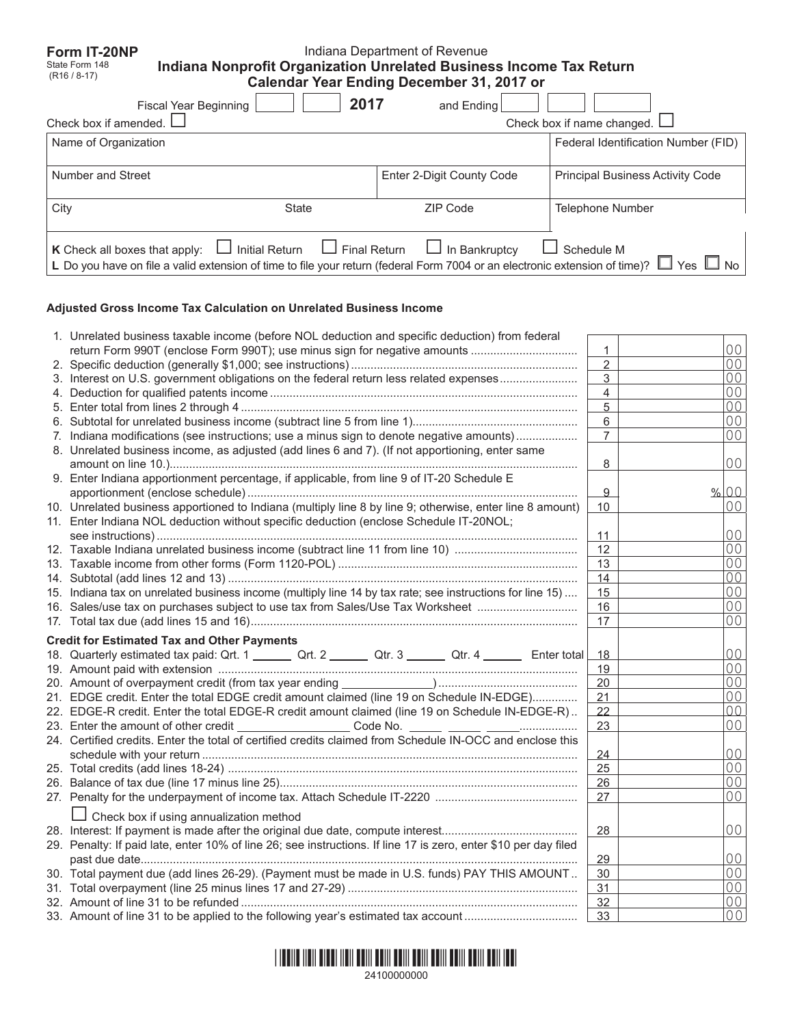| Form IT-20NP<br>State Form 148<br>$(R16/8-17)$ | Indiana Nonprofit Organization Unrelated Business Income Tax Return                                                         | Indiana Department of Revenue<br><b>Calendar Year Ending December 31, 2017 or</b> |                                         |
|------------------------------------------------|-----------------------------------------------------------------------------------------------------------------------------|-----------------------------------------------------------------------------------|-----------------------------------------|
|                                                | 2017<br><b>Fiscal Year Beginning</b>                                                                                        | and Ending                                                                        |                                         |
| Check box if amended.                          |                                                                                                                             |                                                                                   | Check box if name changed.              |
| Name of Organization                           |                                                                                                                             |                                                                                   | Federal Identification Number (FID)     |
| Number and Street                              |                                                                                                                             | Enter 2-Digit County Code                                                         | <b>Principal Business Activity Code</b> |
| City                                           | State                                                                                                                       | ZIP Code                                                                          | <b>Telephone Number</b>                 |
| K Check all boxes that apply:                  | $\Box$ Initial Return $\Box$ Final Return                                                                                   | $\Box$ In Bankruptcy                                                              | Schedule M                              |
|                                                | L Do you have on file a valid extension of time to file your return (federal Form 7004 or an electronic extension of time)? |                                                                                   | Yes                                     |

## **Adjusted Gross Income Tax Calculation on Unrelated Business Income**

| 1. Unrelated business taxable income (before NOL deduction and specific deduction) from federal                 |                |                                  |  |
|-----------------------------------------------------------------------------------------------------------------|----------------|----------------------------------|--|
| return Form 990T (enclose Form 990T); use minus sign for negative amounts                                       | 1              | 00                               |  |
|                                                                                                                 | $\overline{2}$ | 00                               |  |
| 3. Interest on U.S. government obligations on the federal return less related expenses                          | 3              | 00                               |  |
|                                                                                                                 | 4              | 0 <sub>0</sub>                   |  |
|                                                                                                                 | 5              | 00                               |  |
|                                                                                                                 | 6              | 0 <sup>0</sup>                   |  |
| 7. Indiana modifications (see instructions; use a minus sign to denote negative amounts)                        | $\overline{7}$ | 00                               |  |
| 8. Unrelated business income, as adjusted (add lines 6 and 7). (If not apportioning, enter same                 |                |                                  |  |
|                                                                                                                 | 8              | 00                               |  |
| 9. Enter Indiana apportionment percentage, if applicable, from line 9 of IT-20 Schedule E                       |                |                                  |  |
|                                                                                                                 | 9              | % 00                             |  |
| 10. Unrelated business apportioned to Indiana (multiply line 8 by line 9; otherwise, enter line 8 amount)       | 10             | 00                               |  |
| 11. Enter Indiana NOL deduction without specific deduction (enclose Schedule IT-20NOL;                          |                |                                  |  |
|                                                                                                                 | 11             | $00 \,$                          |  |
| 12. Taxable Indiana unrelated business income (subtract line 11 from line 10)                                   | 12             | 00                               |  |
|                                                                                                                 | 13             | 00                               |  |
|                                                                                                                 | 14             | 0 <sup>0</sup>                   |  |
| 15. Indiana tax on unrelated business income (multiply line 14 by tax rate; see instructions for line 15)       | 15             | 00                               |  |
| 16. Sales/use tax on purchases subject to use tax from Sales/Use Tax Worksheet                                  | 16             | 00                               |  |
|                                                                                                                 | 17             | 00                               |  |
| <b>Credit for Estimated Tax and Other Payments</b>                                                              |                |                                  |  |
| 18. Quarterly estimated tax paid: Qrt. 1 _______ Qrt. 2 ______ Qtr. 3 ______ Qtr. 4 ______ Enter total          | 18             | 00                               |  |
|                                                                                                                 | 19             | 0 <sup>0</sup>                   |  |
|                                                                                                                 | 20             | 00                               |  |
| 21. EDGE credit. Enter the total EDGE credit amount claimed (line 19 on Schedule IN-EDGE)                       | 21             | 0 <sub>0</sub>                   |  |
| 22. EDGE-R credit. Enter the total EDGE-R credit amount claimed (line 19 on Schedule IN-EDGE-R)                 | 22             | 0 <sup>0</sup>                   |  |
| 23. Enter the amount of other credit _______________________Code No.                                            | 23             | 0 <sup>0</sup>                   |  |
| 24. Certified credits. Enter the total of certified credits claimed from Schedule IN-OCC and enclose this       |                |                                  |  |
|                                                                                                                 | 24             | 0 <sup>0</sup>                   |  |
|                                                                                                                 | 25             | 00                               |  |
|                                                                                                                 | 26             | 00                               |  |
|                                                                                                                 |                | 0 <sup>0</sup>                   |  |
|                                                                                                                 |                |                                  |  |
|                                                                                                                 | 27             |                                  |  |
| Check box if using annualization method                                                                         |                |                                  |  |
|                                                                                                                 | 28             | 0 <sup>0</sup>                   |  |
| 29. Penalty: If paid late, enter 10% of line 26; see instructions. If line 17 is zero, enter \$10 per day filed |                |                                  |  |
|                                                                                                                 | 29             | 0 <sup>0</sup>                   |  |
| 30. Total payment due (add lines 26-29). (Payment must be made in U.S. funds) PAY THIS AMOUNT                   | 30             | 00                               |  |
|                                                                                                                 | 31             | 00                               |  |
| 33. Amount of line 31 to be applied to the following year's estimated tax account                               | 32<br>33       | 0 <sup>0</sup><br>0 <sup>0</sup> |  |